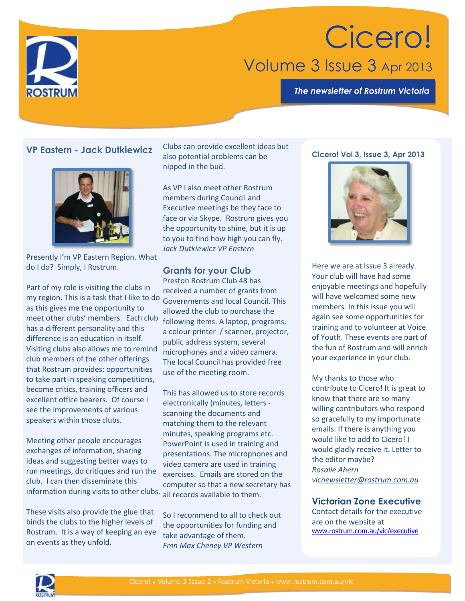

*The newsletter of Rostrum Victoria*



# **VP Eastern - Jack Dutkiewicz**



Presently I'm VP Eastern Region. What do I do? Simply, I Rostrum.

Part of my role is visiting the clubs in my region. This is a task that I like to do Governments and local Council. This as this gives me the opportunity to meet other clubs' members. Each club has a different personality and this difference is an education in itself. Visiting clubs also allows me to remind club members of the other offerings that Rostrum provides: opportunities to take part in speaking competitions, become critics, training officers and excellent office bearers. Of course I see the improvements of various speakers within those clubs.

Meeting other people encourages exchanges of information, sharing ideas and suggesting better ways to run meetings, do critiques and run the club. I can then disseminate this

These visits also provide the glue that binds the clubs to the higher levels of Rostrum. It is a way of keeping an eye on events as they unfold.

Clubs can provide excellent ideas but also potential problems can be nipped in the bud.

As VP I also meet other Rostrum members during Council and Executive meetings be they face to face or via Skype. Rostrum gives you the opportunity to shine, but it is up to you to find how high you can fly. *Jack Dutkiewicz VP Eastern*

## **Grants for your Club**

Preston Rostrum Club 48 has received a number of grants from allowed the club to purchase the following items. A laptop, programs, a colour printer / scanner, projector, public address system, several microphones and a video camera. The local Council has provided free use of the meeting room.

information during visits to other clubs. all records available to them. This has allowed us to store records electronically (minutes, letters scanning the documents and matching them to the relevant minutes, speaking programs etc. PowerPoint is used in training and presentations. The microphones and video camera are used in training exercises. Emails are stored on the computer so that a new secretary has

> So I recommend to all to check out the opportunities for funding and take advantage of them. *Fmn Max Cheney VP Western*

### **Cicero! Vol 3, Issue 3, Apr 2013**



Here we are at Issue 3 already. Your club will have had some enjoyable meetings and hopefully will have welcomed some new members. In this issue you will again see some opportunities for training and to volunteer at Voice of Youth. These events are part of the fun of Rostrum and will enrich your experience in your club.

My thanks to those who contribute to Cicero! It is great to know that there are so many willing contributors who respond so gracefully to my importunate emails. If there is anything you would like to add to Cicero! I would gladly receive it. Letter to the editor maybe? *Rosalie Ahern vi[cnewsletter@rostrum.com.au](mailto:newsletter@rostrum.com.au)*

# **Victorian Zone Executive**

Contact details for the executive are on the website at [www.rostrum.com.au/vic/executive](http://www.rostrum.com.au/vic/executive)

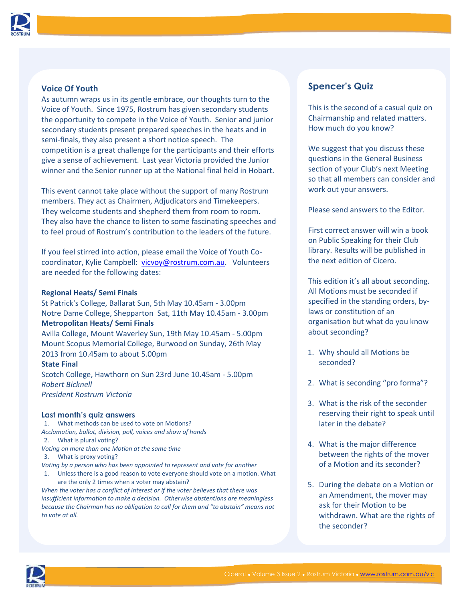

### **Voice Of Youth**

As autumn wraps us in its gentle embrace, our thoughts turn to the Voice of Youth. Since 1975, Rostrum has given secondary students the opportunity to compete in the Voice of Youth. Senior and junior secondary students present prepared speeches in the heats and in semi-finals, they also present a short notice speech. The competition is a great challenge for the participants and their efforts give a sense of achievement. Last year Victoria provided the Junior winner and the Senior runner up at the National final held in Hobart.

This event cannot take place without the support of many Rostrum members. They act as Chairmen, Adjudicators and Timekeepers. They welcome students and shepherd them from room to room. They also have the chance to listen to some fascinating speeches and to feel proud of Rostrum's contribution to the leaders of the future.

If you feel stirred into action, please email the Voice of Youth Cocoordinator, Kylie Campbell: [vicvoy@rostrum.com.au.](mailto:vicvoy@rostrum.com.au) Volunteers are needed for the following dates:

#### **Regional Heats/ Semi Finals**

St Patrick's College, Ballarat Sun, 5th May 10.45am - 3.00pm Notre Dame College, Shepparton Sat, 11th May 10.45am - 3.00pm **Metropolitan Heats/ Semi Finals**

Avilla College, Mount Waverley Sun, 19th May 10.45am - 5.00pm Mount Scopus Memorial College, Burwood on Sunday, 26th May 2013 from 10.45am to about 5.00pm

#### **State Final**

Scotch College, Hawthorn on Sun 23rd June 10.45am - 5.00pm *Robert Bicknell President Rostrum Victoria*

#### **Last month's quiz answers**

1. What methods can be used to vote on Motions? *Acclamation, ballot, division, poll, voices and show of hands* 2. What is plural voting?

- *Voting on more than one Motion at the same time*
- 3. What is proxy voting?

*Voting by a person who has been appointed to represent and vote for another*

1. Unless there is a good reason to vote everyone should vote on a motion. What are the only 2 times when a voter may abstain?

*When the voter has a conflict of interest or if the voter believes that there was insufficient information to make a decision. Otherwise abstentions are meaningless because the Chairman has no obligation to call for them and "to abstain" means not to vote at all.*

## **Spencer's Quiz**

This is the second of a casual quiz on Chairmanship and related matters. How much do you know?

We suggest that you discuss these questions in the General Business section of your Club's next Meeting so that all members can consider and work out your answers.

Please send answers to the Editor.

First correct answer will win a book on Public Speaking for their Club library. Results will be published in the next edition of Cicero.

This edition it's all about seconding. All Motions must be seconded if specified in the standing orders, bylaws or constitution of an organisation but what do you know about seconding?

- 1. Why should all Motions be seconded?
- 2. What is seconding "pro forma"?
- 3. What is the risk of the seconder reserving their right to speak until later in the debate?
- 4. What is the major difference between the rights of the mover of a Motion and its seconder?
- 5. During the debate on a Motion or an Amendment, the mover may ask for their Motion to be withdrawn. What are the rights of the seconder?